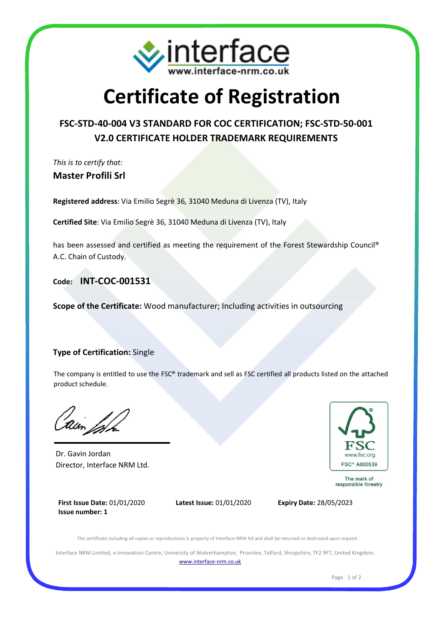

# **Certificate of Registration**

### **FSC-STD-40-004 V3 STANDARD FOR COC CERTIFICATION; FSC-STD-50-001 V2.0 CERTIFICATE HOLDER TRADEMARK REQUIREMENTS**

*This is to certify that:* **Master Profili Srl**

**Registered address**: Via Emilio Segrè 36, 31040 Meduna di Livenza (TV), Italy

**Certified Site**: Via Emilio Segrè 36, 31040 Meduna di Livenza (TV), Italy

has been assessed and certified as meeting the requirement of the Forest Stewardship Council® A.C. Chain of Custody.

**Code: INT-COC-001531**

**Scope of the Certificate:** Wood manufacturer; Including activities in outsourcing

#### **Type of Certification:** Single

The company is entitled to use the FSC® trademark and sell as FSC certified all products listed on the attached product schedule.

Dr. Gavin Jordan Director, Interface NRM Ltd.



The mark of responsible forestry

**First Issue Date:** 01/01/2020 **Issue number: 1**



The certificate including all copies or reproductions is property of Interface NRM ltd and shall be returned or destroyed upon request.

Interface NRM Limited, e-Innovation Centre, University of Wolverhampton, Priorslee, Telford, Shropshire, TF2 9FT, United Kingdom. www.interface-nrm.co.uk